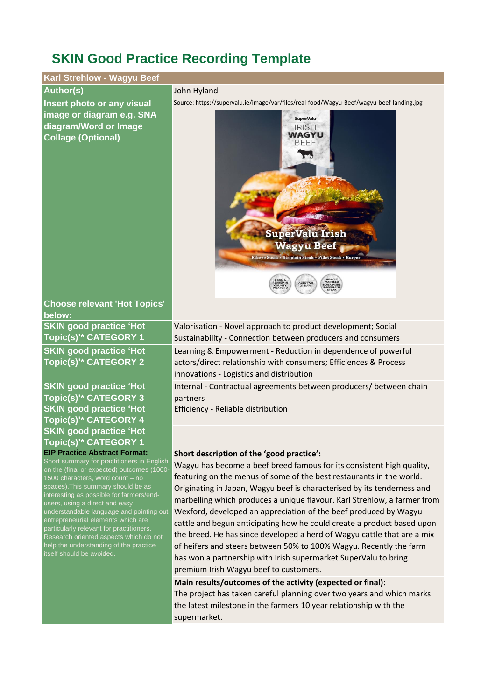## **SKIN Good Practice Recording Template**

| Karl Strehlow - Wagyu Beef                                                                                                                                                                                                                                                                                                                                                                                                                                                                                                              |                                                                                                                                                                                                                                                                                                                                                                                                                                                                                                                                                                                                                                                                                                                                                                                                                             |
|-----------------------------------------------------------------------------------------------------------------------------------------------------------------------------------------------------------------------------------------------------------------------------------------------------------------------------------------------------------------------------------------------------------------------------------------------------------------------------------------------------------------------------------------|-----------------------------------------------------------------------------------------------------------------------------------------------------------------------------------------------------------------------------------------------------------------------------------------------------------------------------------------------------------------------------------------------------------------------------------------------------------------------------------------------------------------------------------------------------------------------------------------------------------------------------------------------------------------------------------------------------------------------------------------------------------------------------------------------------------------------------|
| <b>Author(s)</b>                                                                                                                                                                                                                                                                                                                                                                                                                                                                                                                        | John Hyland                                                                                                                                                                                                                                                                                                                                                                                                                                                                                                                                                                                                                                                                                                                                                                                                                 |
| Insert photo or any visual<br>image or diagram e.g. SNA<br>diagram/Word or Image<br><b>Collage (Optional)</b>                                                                                                                                                                                                                                                                                                                                                                                                                           | Source: https://supervalu.ie/image/var/files/real-food/Wagyu-Beef/wagyu-beef-landing.jpg<br><b>SuperValu</b><br>IRISH<br><b>WAGYU</b><br><b>BEEF</b><br><b>SuperValu Irish</b><br><b>Wagyu Beef</b><br>Ribeye Steak . Striploin Steak . Fillet Steak . Burger<br><b>HEAVILY</b><br>MARBLED<br>BORN &<br>REARED IN<br>COUNTY<br>WEXFORD<br>AGED FOR<br>21 DAYS                                                                                                                                                                                                                                                                                                                                                                                                                                                               |
| <b>Choose relevant 'Hot Topics'</b><br>below:                                                                                                                                                                                                                                                                                                                                                                                                                                                                                           |                                                                                                                                                                                                                                                                                                                                                                                                                                                                                                                                                                                                                                                                                                                                                                                                                             |
| <b>SKIN good practice 'Hot</b><br>Topic(s) <sup>*</sup> CATEGORY 1                                                                                                                                                                                                                                                                                                                                                                                                                                                                      | Valorisation - Novel approach to product development; Social<br>Sustainability - Connection between producers and consumers                                                                                                                                                                                                                                                                                                                                                                                                                                                                                                                                                                                                                                                                                                 |
| <b>SKIN good practice 'Hot</b><br>Topic(s) <sup>*</sup> CATEGORY 2                                                                                                                                                                                                                                                                                                                                                                                                                                                                      | Learning & Empowerment - Reduction in dependence of powerful<br>actors/direct relationship with consumers; Efficiences & Process<br>innovations - Logistics and distribution                                                                                                                                                                                                                                                                                                                                                                                                                                                                                                                                                                                                                                                |
| <b>SKIN good practice 'Hot</b><br>Topic(s)'* CATEGORY 3                                                                                                                                                                                                                                                                                                                                                                                                                                                                                 | Internal - Contractual agreements between producers/ between chain<br>partners                                                                                                                                                                                                                                                                                                                                                                                                                                                                                                                                                                                                                                                                                                                                              |
| <b>SKIN good practice 'Hot</b><br>Topic(s) <sup>*</sup> CATEGORY 4                                                                                                                                                                                                                                                                                                                                                                                                                                                                      | Efficiency - Reliable distribution                                                                                                                                                                                                                                                                                                                                                                                                                                                                                                                                                                                                                                                                                                                                                                                          |
| <b>SKIN good practice 'Hot</b><br>Topic(s) <sup>*</sup> CATEGORY 1                                                                                                                                                                                                                                                                                                                                                                                                                                                                      |                                                                                                                                                                                                                                                                                                                                                                                                                                                                                                                                                                                                                                                                                                                                                                                                                             |
| <b>EIP Practice Abstract Format:</b><br>Short summary for practitioners in English<br>on the (final or expected) outcomes (1000-<br>1500 characters, word count - no<br>spaces). This summary should be as<br>interesting as possible for farmers/end-<br>users, using a direct and easy<br>understandable language and pointing out<br>entrepreneurial elements which are<br>particularly relevant for practitioners.<br>Research oriented aspects which do not<br>help the understanding of the practice<br>itself should be avoided. | Short description of the 'good practice':<br>Wagyu has become a beef breed famous for its consistent high quality,<br>featuring on the menus of some of the best restaurants in the world.<br>Originating in Japan, Wagyu beef is characterised by its tenderness and<br>marbelling which produces a unique flavour. Karl Strehlow, a farmer from<br>Wexford, developed an appreciation of the beef produced by Wagyu<br>cattle and begun anticipating how he could create a product based upon<br>the breed. He has since developed a herd of Wagyu cattle that are a mix<br>of heifers and steers between 50% to 100% Wagyu. Recently the farm<br>has won a partnership with Irish supermarket SuperValu to bring<br>premium Irish Wagyu beef to customers.<br>Main results/outcomes of the activity (expected or final): |
|                                                                                                                                                                                                                                                                                                                                                                                                                                                                                                                                         | The project has taken careful planning over two years and which marks<br>the latest milestone in the farmers 10 year relationship with the                                                                                                                                                                                                                                                                                                                                                                                                                                                                                                                                                                                                                                                                                  |

supermarket.